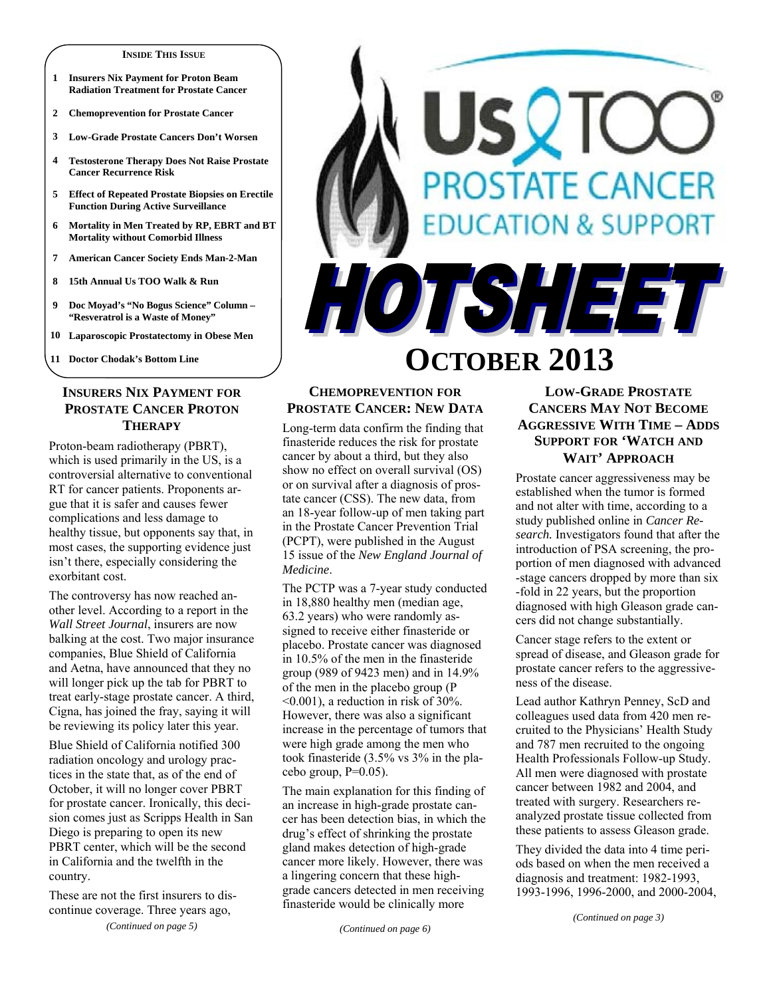#### **INSIDE THIS ISSUE**

- **1 Insurers Nix Payment for Proton Beam Radiation Treatment for Prostate Cancer**
- **2 Chemoprevention for Prostate Cancer**
- **3 Low-Grade Prostate Cancers Don't Worsen**
- **4 Testosterone Therapy Does Not Raise Prostate Cancer Recurrence Risk**
- **5 Effect of Repeated Prostate Biopsies on Erectile Function During Active Surveillance**
- **6 Mortality in Men Treated by RP, EBRT and BT Mortality without Comorbid Illness**
- **7 American Cancer Society Ends Man-2-Man**
- **8 15th Annual Us TOO Walk & Run**
- **9 Doc Moyad's "No Bogus Science" Column "Resveratrol is a Waste of Money"**
- **10 Laparoscopic Prostatectomy in Obese Men**

**11 Doctor Chodak's Bottom Line** 

## **INSURERS NIX PAYMENT FOR PROSTATE CANCER PROTON THERAPY**

Proton-beam radiotherapy (PBRT), which is used primarily in the US, is a controversial alternative to conventional RT for cancer patients. Proponents argue that it is safer and causes fewer complications and less damage to healthy tissue, but opponents say that, in most cases, the supporting evidence just isn't there, especially considering the exorbitant cost.

The controversy has now reached another level. According to a report in the *Wall Street Journal*, insurers are now balking at the cost. Two major insurance companies, Blue Shield of California and Aetna, have announced that they no will longer pick up the tab for PBRT to treat early-stage prostate cancer. A third, Cigna, has joined the fray, saying it will be reviewing its policy later this year.

Blue Shield of California notified 300 radiation oncology and urology practices in the state that, as of the end of October, it will no longer cover PBRT for prostate cancer. Ironically, this decision comes just as Scripps Health in San Diego is preparing to open its new PBRT center, which will be the second in California and the twelfth in the country.

These are not the first insurers to discontinue coverage. Three years ago, *(Continued on page 5)* 



# **OCTOBER 2013**

## **CHEMOPREVENTION FOR PROSTATE CANCER: NEW DATA**

Long-term data confirm the finding that finasteride reduces the risk for prostate cancer by about a third, but they also show no effect on overall survival (OS) or on survival after a diagnosis of prostate cancer (CSS). The new data, from an 18-year follow-up of men taking part in the Prostate Cancer Prevention Trial (PCPT), were published in the August 15 issue of the *New England Journal of Medicine*.

The PCTP was a 7-year study conducted in 18,880 healthy men (median age, 63.2 years) who were randomly assigned to receive either finasteride or placebo. Prostate cancer was diagnosed in 10.5% of the men in the finasteride group (989 of 9423 men) and in 14.9% of the men in the placebo group (P <0.001), a reduction in risk of 30%. However, there was also a significant increase in the percentage of tumors that were high grade among the men who took finasteride (3.5% vs 3% in the placebo group,  $P=0.05$ ).

The main explanation for this finding of an increase in high-grade prostate cancer has been detection bias, in which the drug's effect of shrinking the prostate gland makes detection of high-grade cancer more likely. However, there was a lingering concern that these highgrade cancers detected in men receiving finasteride would be clinically more

## **LOW-GRADE PROSTATE CANCERS MAY NOT BECOME AGGRESSIVE WITH TIME – ADDS SUPPORT FOR 'WATCH AND WAIT' APPROACH**

Prostate cancer aggressiveness may be established when the tumor is formed and not alter with time, according to a study published online in *Cancer Research.* Investigators found that after the introduction of PSA screening, the proportion of men diagnosed with advanced -stage cancers dropped by more than six -fold in 22 years, but the proportion diagnosed with high Gleason grade cancers did not change substantially.

Cancer stage refers to the extent or spread of disease, and Gleason grade for prostate cancer refers to the aggressiveness of the disease.

Lead author Kathryn Penney, ScD and colleagues used data from 420 men recruited to the Physicians' Health Study and 787 men recruited to the ongoing Health Professionals Follow-up Study. All men were diagnosed with prostate cancer between 1982 and 2004, and treated with surgery. Researchers reanalyzed prostate tissue collected from these patients to assess Gleason grade.

They divided the data into 4 time periods based on when the men received a diagnosis and treatment: 1982-1993, 1993-1996, 1996-2000, and 2000-2004,

*(Continued on page 3)*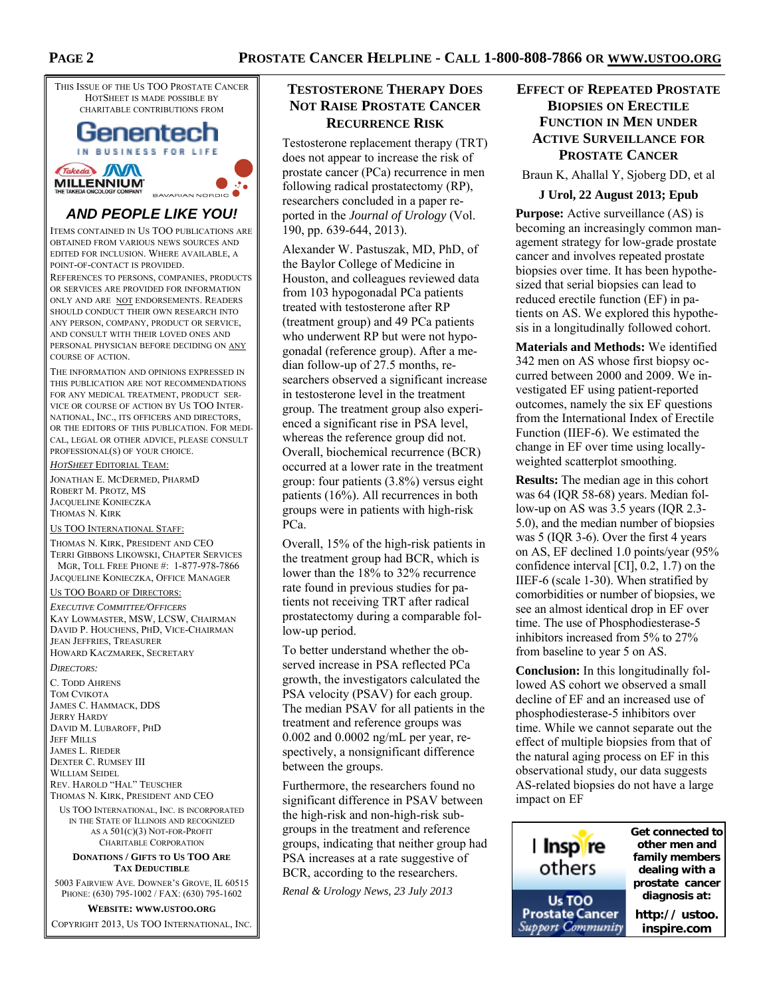

## *AND PEOPLE LIKE YOU!*

ITEMS CONTAINED IN US TOO PUBLICATIONS ARE OBTAINED FROM VARIOUS NEWS SOURCES AND EDITED FOR INCLUSION. WHERE AVAILABLE, A POINT-OF-CONTACT IS PROVIDED.

REFERENCES TO PERSONS, COMPANIES, PRODUCTS OR SERVICES ARE PROVIDED FOR INFORMATION ONLY AND ARE NOT ENDORSEMENTS. READERS SHOULD CONDUCT THEIR OWN RESEARCH INTO ANY PERSON, COMPANY, PRODUCT OR SERVICE, AND CONSULT WITH THEIR LOVED ONES AND PERSONAL PHYSICIAN BEFORE DECIDING ON ANY COURSE OF ACTION.

THE INFORMATION AND OPINIONS EXPRESSED IN THIS PUBLICATION ARE NOT RECOMMENDATIONS FOR ANY MEDICAL TREATMENT, PRODUCT SER-VICE OR COURSE OF ACTION BY US TOO INTER-NATIONAL, INC., ITS OFFICERS AND DIRECTORS, OR THE EDITORS OF THIS PUBLICATION. FOR MEDI-CAL, LEGAL OR OTHER ADVICE, PLEASE CONSULT PROFESSIONAL(S) OF YOUR CHOICE.

*HOTSHEET* EDITORIAL TEAM:

JONATHAN E. MCDERMED, PHARMD ROBERT M. PROTZ, MS JACQUELINE KONIECZKA THOMAS N. KIRK

#### US TOO INTERNATIONAL STAFF:

THOMAS N. KIRK, PRESIDENT AND CEO TERRI GIBBONS LIKOWSKI, CHAPTER SERVICES MGR, TOLL FREE PHONE #: 1-877-978-7866 JACQUELINE KONIECZKA, OFFICE MANAGER

#### US TOO BOARD OF DIRECTORS:

*EXECUTIVE COMMITTEE/OFFICERS* KAY LOWMASTER, MSW, LCSW, CHAIRMAN DAVID P. HOUCHENS, PHD, VICE-CHAIRMAN JEAN JEFFRIES, TREASURER HOWARD KACZMAREK, SECRETARY

#### *DIRECTORS:*

C. TODD AHRENS TOM CVIKOTA JAMES C. HAMMACK, DDS JERRY HARDY DAVID M. LUBAROFF, PHD JEFF MILLS JAMES L. RIEDER DEXTER C. RUMSEY III WILLIAM SEIDEL REV. HAROLD "HAL" TEUSCHER THOMAS N. KIRK, PRESIDENT AND CEO

US TOO INTERNATIONAL, INC. IS INCORPORATED IN THE STATE OF ILLINOIS AND RECOGNIZED AS A 501(C)(3) NOT-FOR-PROFIT CHARITABLE CORPORATION

#### **DONATIONS / GIFTS TO US TOO ARE TAX DEDUCTIBLE**

5003 FAIRVIEW AVE. DOWNER'S GROVE, IL 60515 PHONE: (630) 795-1002 / FAX: (630) 795-1602

**WEBSITE: WWW.USTOO.ORG**

COPYRIGHT 2013, US TOO INTERNATIONAL, INC.

## **TESTOSTERONE THERAPY DOES NOT RAISE PROSTATE CANCER RECURRENCE RISK**

Testosterone replacement therapy (TRT) does not appear to increase the risk of prostate cancer (PCa) recurrence in men following radical prostatectomy (RP), researchers concluded in a paper reported in the *Journal of Urology* (Vol. 190, pp. 639-644, 2013).

Alexander W. Pastuszak, MD, PhD, of the Baylor College of Medicine in Houston, and colleagues reviewed data from 103 hypogonadal PCa patients treated with testosterone after RP (treatment group) and 49 PCa patients who underwent RP but were not hypogonadal (reference group). After a median follow-up of 27.5 months, researchers observed a significant increase in testosterone level in the treatment group. The treatment group also experienced a significant rise in PSA level, whereas the reference group did not. Overall, biochemical recurrence (BCR) occurred at a lower rate in the treatment group: four patients (3.8%) versus eight patients (16%). All recurrences in both groups were in patients with high-risk PCa.

Overall, 15% of the high-risk patients in the treatment group had BCR, which is lower than the 18% to 32% recurrence rate found in previous studies for patients not receiving TRT after radical prostatectomy during a comparable follow-up period.

To better understand whether the observed increase in PSA reflected PCa growth, the investigators calculated the PSA velocity (PSAV) for each group. The median PSAV for all patients in the treatment and reference groups was 0.002 and 0.0002 ng/mL per year, respectively, a nonsignificant difference between the groups.

Furthermore, the researchers found no significant difference in PSAV between the high-risk and non-high-risk subgroups in the treatment and reference groups, indicating that neither group had PSA increases at a rate suggestive of BCR, according to the researchers.

*Renal & Urology News, 23 July 2013* 

## **EFFECT OF REPEATED PROSTATE BIOPSIES ON ERECTILE FUNCTION IN MEN UNDER ACTIVE SURVEILLANCE FOR PROSTATE CANCER**

Braun K, Ahallal Y, Sjoberg DD, et al

#### **J Urol, 22 August 2013; Epub**

**Purpose:** Active surveillance (AS) is becoming an increasingly common management strategy for low-grade prostate cancer and involves repeated prostate biopsies over time. It has been hypothesized that serial biopsies can lead to reduced erectile function (EF) in patients on AS. We explored this hypothesis in a longitudinally followed cohort.

**Materials and Methods:** We identified 342 men on AS whose first biopsy occurred between 2000 and 2009. We investigated EF using patient-reported outcomes, namely the six EF questions from the International Index of Erectile Function (IIEF-6). We estimated the change in EF over time using locallyweighted scatterplot smoothing.

**Results:** The median age in this cohort was 64 (IQR 58-68) years. Median follow-up on AS was 3.5 years (IQR 2.3- 5.0), and the median number of biopsies was 5 (IQR 3-6). Over the first 4 years on AS, EF declined 1.0 points/year (95% confidence interval [CI], 0.2, 1.7) on the IIEF-6 (scale 1-30). When stratified by comorbidities or number of biopsies, we see an almost identical drop in EF over time. The use of Phosphodiesterase-5 inhibitors increased from 5% to 27% from baseline to year 5 on AS.

**Conclusion:** In this longitudinally followed AS cohort we observed a small decline of EF and an increased use of phosphodiesterase-5 inhibitors over time. While we cannot separate out the effect of multiple biopsies from that of the natural aging process on EF in this observational study, our data suggests AS-related biopsies do not have a large impact on EF

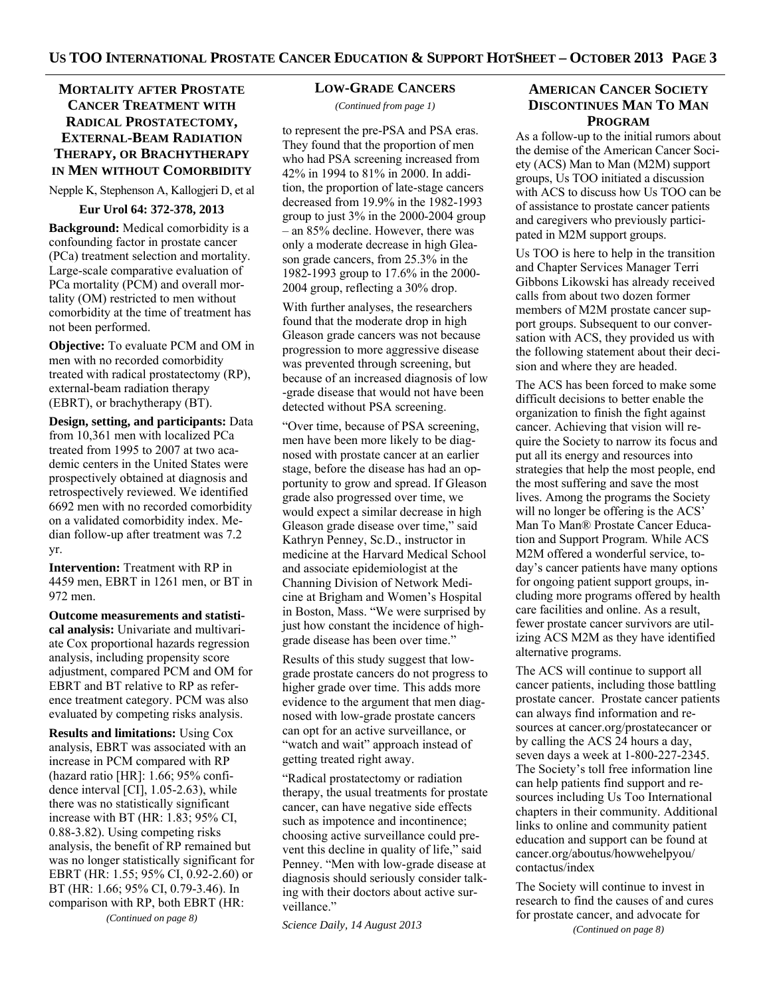## **MORTALITY AFTER PROSTATE CANCER TREATMENT WITH RADICAL PROSTATECTOMY, EXTERNAL-BEAM RADIATION THERAPY, OR BRACHYTHERAPY IN MEN WITHOUT COMORBIDITY**

Nepple K, Stephenson A, Kallogjeri D, et al

**Eur Urol 64: 372-378, 2013** 

**Background:** Medical comorbidity is a confounding factor in prostate cancer (PCa) treatment selection and mortality. Large-scale comparative evaluation of PCa mortality (PCM) and overall mortality (OM) restricted to men without comorbidity at the time of treatment has not been performed.

**Objective:** To evaluate PCM and OM in men with no recorded comorbidity treated with radical prostatectomy (RP), external-beam radiation therapy (EBRT), or brachytherapy (BT).

**Design, setting, and participants:** Data from 10,361 men with localized PCa treated from 1995 to 2007 at two academic centers in the United States were prospectively obtained at diagnosis and retrospectively reviewed. We identified 6692 men with no recorded comorbidity on a validated comorbidity index. Median follow-up after treatment was 7.2 yr.

**Intervention:** Treatment with RP in 4459 men, EBRT in 1261 men, or BT in 972 men.

**Outcome measurements and statistical analysis:** Univariate and multivariate Cox proportional hazards regression analysis, including propensity score adjustment, compared PCM and OM for EBRT and BT relative to RP as reference treatment category. PCM was also evaluated by competing risks analysis.

**Results and limitations:** Using Cox analysis, EBRT was associated with an increase in PCM compared with RP (hazard ratio [HR]: 1.66; 95% confidence interval [CI], 1.05-2.63), while there was no statistically significant increase with BT (HR: 1.83; 95% CI, 0.88-3.82). Using competing risks analysis, the benefit of RP remained but was no longer statistically significant for EBRT (HR: 1.55; 95% CI, 0.92-2.60) or BT (HR: 1.66; 95% CI, 0.79-3.46). In comparison with RP, both EBRT (HR:

*(Continued on page 8)* 

#### **LOW-GRADE CANCERS**

*(Continued from page 1)* 

to represent the pre-PSA and PSA eras. They found that the proportion of men who had PSA screening increased from 42% in 1994 to 81% in 2000. In addition, the proportion of late-stage cancers decreased from 19.9% in the 1982-1993 group to just 3% in the 2000-2004 group – an 85% decline. However, there was only a moderate decrease in high Gleason grade cancers, from 25.3% in the 1982-1993 group to 17.6% in the 2000- 2004 group, reflecting a 30% drop.

With further analyses, the researchers found that the moderate drop in high Gleason grade cancers was not because progression to more aggressive disease was prevented through screening, but because of an increased diagnosis of low -grade disease that would not have been detected without PSA screening.

"Over time, because of PSA screening, men have been more likely to be diagnosed with prostate cancer at an earlier stage, before the disease has had an opportunity to grow and spread. If Gleason grade also progressed over time, we would expect a similar decrease in high Gleason grade disease over time," said Kathryn Penney, Sc.D., instructor in medicine at the Harvard Medical School and associate epidemiologist at the Channing Division of Network Medicine at Brigham and Women's Hospital in Boston, Mass. "We were surprised by just how constant the incidence of highgrade disease has been over time."

Results of this study suggest that lowgrade prostate cancers do not progress to higher grade over time. This adds more evidence to the argument that men diagnosed with low-grade prostate cancers can opt for an active surveillance, or "watch and wait" approach instead of getting treated right away.

"Radical prostatectomy or radiation therapy, the usual treatments for prostate cancer, can have negative side effects such as impotence and incontinence; choosing active surveillance could prevent this decline in quality of life," said Penney. "Men with low-grade disease at diagnosis should seriously consider talking with their doctors about active surveillance."

*Science Daily, 14 August 2013* 

## **AMERICAN CANCER SOCIETY DISCONTINUES MAN TO MAN PROGRAM**

As a follow-up to the initial rumors about the demise of the American Cancer Society (ACS) Man to Man (M2M) support groups, Us TOO initiated a discussion with ACS to discuss how Us TOO can be of assistance to prostate cancer patients and caregivers who previously participated in M2M support groups.

Us TOO is here to help in the transition and Chapter Services Manager Terri Gibbons Likowski has already received calls from about two dozen former members of M2M prostate cancer support groups. Subsequent to our conversation with ACS, they provided us with the following statement about their decision and where they are headed.

The ACS has been forced to make some difficult decisions to better enable the organization to finish the fight against cancer. Achieving that vision will require the Society to narrow its focus and put all its energy and resources into strategies that help the most people, end the most suffering and save the most lives. Among the programs the Society will no longer be offering is the ACS' Man To Man® Prostate Cancer Education and Support Program. While ACS M2M offered a wonderful service, today's cancer patients have many options for ongoing patient support groups, including more programs offered by health care facilities and online. As a result, fewer prostate cancer survivors are utilizing ACS M2M as they have identified alternative programs.

The ACS will continue to support all cancer patients, including those battling prostate cancer. Prostate cancer patients can always find information and resources at cancer.org/prostatecancer or by calling the ACS 24 hours a day, seven days a week at 1-800-227-2345. The Society's toll free information line can help patients find support and resources including Us Too International chapters in their community. Additional links to online and community patient education and support can be found at cancer.org/aboutus/howwehelpyou/ contactus/index

The Society will continue to invest in research to find the causes of and cures for prostate cancer, and advocate for *(Continued on page 8)*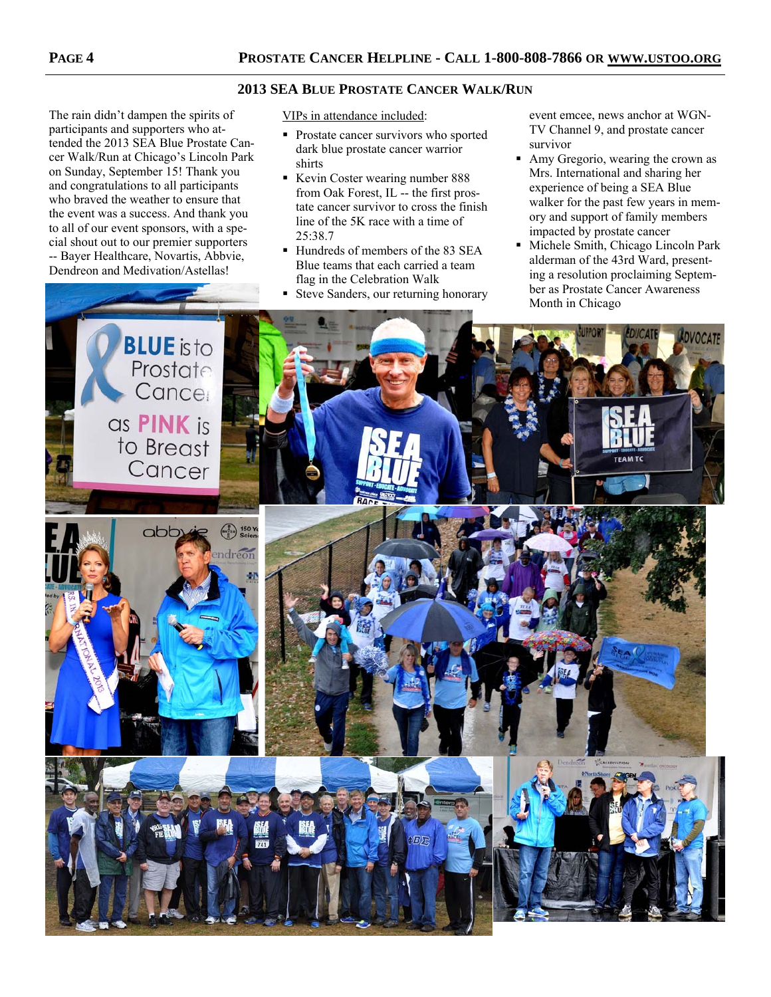## **2013 SEA BLUE PROSTATE CANCER WALK/RUN**

The rain didn't dampen the spirits of participants and supporters who attended the 2013 SEA Blue Prostate Cancer Walk/Run at Chicago's Lincoln Park on Sunday, September 15! Thank you and congratulations to all participants who braved the weather to ensure that the event was a success. And thank you to all of our event sponsors, with a special shout out to our premier supporters -- Bayer Healthcare, Novartis, Abbvie, Dendreon and Medivation/Astellas!

VIPs in attendance included:

- **Prostate cancer survivors who sported** dark blue prostate cancer warrior shirts
- Kevin Coster wearing number 888 from Oak Forest, IL -- the first prostate cancer survivor to cross the finish line of the 5K race with a time of 25:38.7
- Hundreds of members of the 83 SEA Blue teams that each carried a team flag in the Celebration Walk
- Steve Sanders, our returning honorary

event emcee, news anchor at WGN-TV Channel 9, and prostate cancer survivor

- Amy Gregorio, wearing the crown as Mrs. International and sharing her experience of being a SEA Blue walker for the past few years in memory and support of family members impacted by prostate cancer
- Michele Smith, Chicago Lincoln Park alderman of the 43rd Ward, presenting a resolution proclaiming September as Prostate Cancer Awareness Month in Chicago

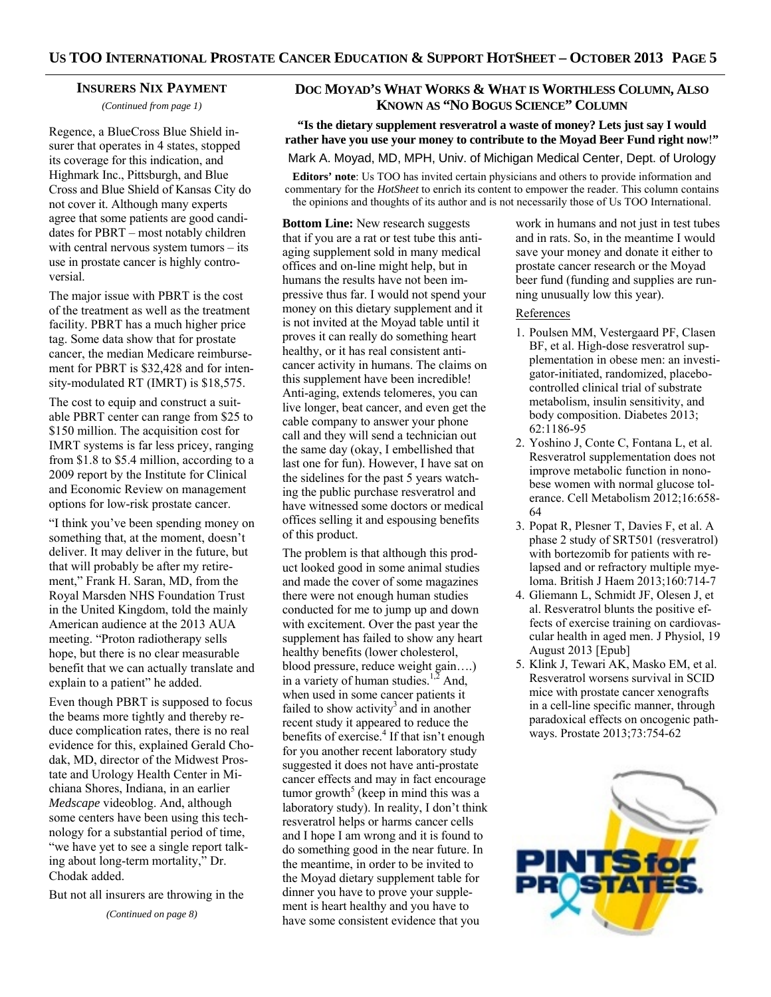#### **INSURERS NIX PAYMENT**

*(Continued from page 1)* 

Regence, a BlueCross Blue Shield insurer that operates in 4 states, stopped its coverage for this indication, and Highmark Inc., Pittsburgh, and Blue Cross and Blue Shield of Kansas City do not cover it. Although many experts agree that some patients are good candidates for PBRT – most notably children with central nervous system tumors – its use in prostate cancer is highly controversial.

The major issue with PBRT is the cost of the treatment as well as the treatment facility. PBRT has a much higher price tag. Some data show that for prostate cancer, the median Medicare reimbursement for PBRT is \$32,428 and for intensity-modulated RT (IMRT) is \$18,575.

The cost to equip and construct a suitable PBRT center can range from \$25 to \$150 million. The acquisition cost for IMRT systems is far less pricey, ranging from \$1.8 to \$5.4 million, according to a 2009 report by the Institute for Clinical and Economic Review on management options for low-risk prostate cancer.

"I think you've been spending money on something that, at the moment, doesn't deliver. It may deliver in the future, but that will probably be after my retirement," Frank H. Saran, MD, from the Royal Marsden NHS Foundation Trust in the United Kingdom, told the mainly American audience at the 2013 AUA meeting. "Proton radiotherapy sells hope, but there is no clear measurable benefit that we can actually translate and explain to a patient" he added.

Even though PBRT is supposed to focus the beams more tightly and thereby reduce complication rates, there is no real evidence for this, explained Gerald Chodak, MD, director of the Midwest Prostate and Urology Health Center in Michiana Shores, Indiana, in an earlier *Medscape* videoblog. And, although some centers have been using this technology for a substantial period of time, "we have yet to see a single report talking about long-term mortality," Dr. Chodak added.

But not all insurers are throwing in the

*(Continued on page 8)* 

## **DOC MOYAD'S WHAT WORKS & WHAT IS WORTHLESS COLUMN, ALSO KNOWN AS "NO BOGUS SCIENCE" COLUMN**

**"Is the dietary supplement resveratrol a waste of money? Lets just say I would rather have you use your money to contribute to the Moyad Beer Fund right now**!**"**

## Mark A. Moyad, MD, MPH, Univ. of Michigan Medical Center, Dept. of Urology

**Editors' note**: Us TOO has invited certain physicians and others to provide information and commentary for the *HotSheet* to enrich its content to empower the reader. This column contains the opinions and thoughts of its author and is not necessarily those of Us TOO International.

**Bottom Line:** New research suggests that if you are a rat or test tube this antiaging supplement sold in many medical offices and on-line might help, but in humans the results have not been impressive thus far. I would not spend your money on this dietary supplement and it is not invited at the Moyad table until it proves it can really do something heart healthy, or it has real consistent anticancer activity in humans. The claims on this supplement have been incredible! Anti-aging, extends telomeres, you can live longer, beat cancer, and even get the cable company to answer your phone call and they will send a technician out the same day (okay, I embellished that last one for fun). However, I have sat on the sidelines for the past 5 years watching the public purchase resveratrol and have witnessed some doctors or medical offices selling it and espousing benefits of this product.

The problem is that although this product looked good in some animal studies and made the cover of some magazines there were not enough human studies conducted for me to jump up and down with excitement. Over the past year the supplement has failed to show any heart healthy benefits (lower cholesterol, blood pressure, reduce weight gain….) in a variety of human studies.<sup>1,2</sup> And, when used in some cancer patients it failed to show activity<sup>3</sup> and in another recent study it appeared to reduce the benefits of exercise. $4$  If that isn't enough for you another recent laboratory study suggested it does not have anti-prostate cancer effects and may in fact encourage tumor growth<sup>5</sup> (keep in mind this was a laboratory study). In reality, I don't think resveratrol helps or harms cancer cells and I hope I am wrong and it is found to do something good in the near future. In the meantime, in order to be invited to the Moyad dietary supplement table for dinner you have to prove your supplement is heart healthy and you have to have some consistent evidence that you

work in humans and not just in test tubes and in rats. So, in the meantime I would save your money and donate it either to prostate cancer research or the Moyad beer fund (funding and supplies are running unusually low this year).

## References

- 1. Poulsen MM, Vestergaard PF, Clasen BF, et al. High-dose resveratrol supplementation in obese men: an investigator-initiated, randomized, placebocontrolled clinical trial of substrate metabolism, insulin sensitivity, and body composition. Diabetes 2013; 62:1186-95
- 2. Yoshino J, Conte C, Fontana L, et al. Resveratrol supplementation does not improve metabolic function in nonobese women with normal glucose tolerance. Cell Metabolism 2012;16:658- 64
- 3. Popat R, Plesner T, Davies F, et al. A phase 2 study of SRT501 (resveratrol) with bortezomib for patients with relapsed and or refractory multiple myeloma. British J Haem 2013;160:714-7
- 4. Gliemann L, Schmidt JF, Olesen J, et al. Resveratrol blunts the positive effects of exercise training on cardiovascular health in aged men. J Physiol, 19 August 2013 [Epub]
- 5. Klink J, Tewari AK, Masko EM, et al. Resveratrol worsens survival in SCID mice with prostate cancer xenografts in a cell-line specific manner, through paradoxical effects on oncogenic pathways. Prostate 2013;73:754-62

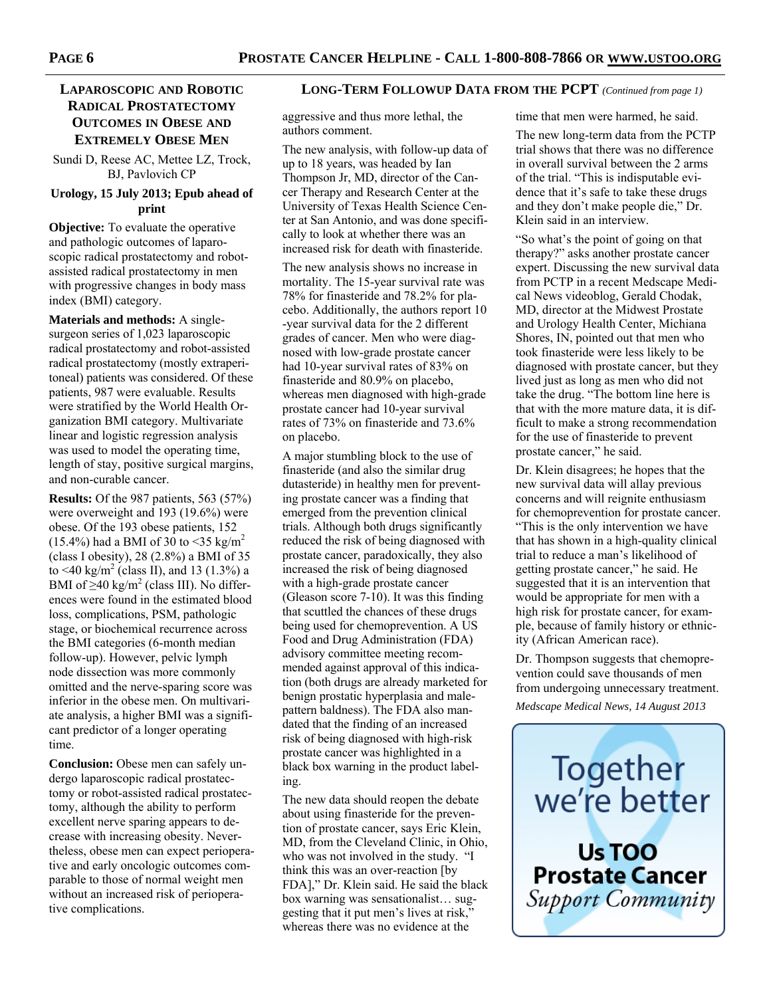## **RADICAL PROSTATECTOMY OUTCOMES IN OBESE AND EXTREMELY OBESE MEN**

Sundi D, Reese AC, Mettee LZ, Trock, BJ, Pavlovich CP

## **Urology, 15 July 2013; Epub ahead of print**

**Objective:** To evaluate the operative and pathologic outcomes of laparoscopic radical prostatectomy and robotassisted radical prostatectomy in men with progressive changes in body mass index (BMI) category.

**Materials and methods:** A singlesurgeon series of 1,023 laparoscopic radical prostatectomy and robot-assisted radical prostatectomy (mostly extraperitoneal) patients was considered. Of these patients, 987 were evaluable. Results were stratified by the World Health Organization BMI category. Multivariate linear and logistic regression analysis was used to model the operating time, length of stay, positive surgical margins, and non-curable cancer.

**Results:** Of the 987 patients, 563 (57%) were overweight and 193 (19.6%) were obese. Of the 193 obese patients, 152 (15.4%) had a BMI of 30 to <35 kg/m<sup>2</sup> (class I obesity), 28 (2.8%) a BMI of 35 to <40 kg/m<sup>2</sup> (class II), and 13 (1.3%) a BMI of  $\geq$ 40 kg/m<sup>2</sup> (class III). No differences were found in the estimated blood loss, complications, PSM, pathologic stage, or biochemical recurrence across the BMI categories (6-month median follow-up). However, pelvic lymph node dissection was more commonly omitted and the nerve-sparing score was inferior in the obese men. On multivariate analysis, a higher BMI was a significant predictor of a longer operating time.

**Conclusion:** Obese men can safely undergo laparoscopic radical prostatectomy or robot-assisted radical prostatectomy, although the ability to perform excellent nerve sparing appears to decrease with increasing obesity. Nevertheless, obese men can expect perioperative and early oncologic outcomes comparable to those of normal weight men without an increased risk of perioperative complications.

#### **LAPAROSCOPIC AND ROBOTIC LONG-TERM FOLLOWUP DATA FROM THE PCPT** *(Continued from page 1)*

aggressive and thus more lethal, the authors comment.

The new analysis, with follow-up data of up to 18 years, was headed by Ian Thompson Jr, MD, director of the Cancer Therapy and Research Center at the University of Texas Health Science Center at San Antonio, and was done specifically to look at whether there was an increased risk for death with finasteride.

The new analysis shows no increase in mortality. The 15-year survival rate was 78% for finasteride and 78.2% for placebo. Additionally, the authors report 10 -year survival data for the 2 different grades of cancer. Men who were diagnosed with low-grade prostate cancer had 10-year survival rates of 83% on finasteride and 80.9% on placebo, whereas men diagnosed with high-grade prostate cancer had 10-year survival rates of 73% on finasteride and 73.6% on placebo.

A major stumbling block to the use of finasteride (and also the similar drug dutasteride) in healthy men for preventing prostate cancer was a finding that emerged from the prevention clinical trials. Although both drugs significantly reduced the risk of being diagnosed with prostate cancer, paradoxically, they also increased the risk of being diagnosed with a high-grade prostate cancer (Gleason score 7-10). It was this finding that scuttled the chances of these drugs being used for chemoprevention. A US Food and Drug Administration (FDA) advisory committee meeting recommended against approval of this indication (both drugs are already marketed for benign prostatic hyperplasia and malepattern baldness). The FDA also mandated that the finding of an increased risk of being diagnosed with high-risk prostate cancer was highlighted in a black box warning in the product labeling.

The new data should reopen the debate about using finasteride for the prevention of prostate cancer, says Eric Klein, MD, from the Cleveland Clinic, in Ohio, who was not involved in the study. "I think this was an over-reaction [by FDA]," Dr. Klein said. He said the black box warning was sensationalist… suggesting that it put men's lives at risk," whereas there was no evidence at the

time that men were harmed, he said.

The new long-term data from the PCTP trial shows that there was no difference in overall survival between the 2 arms of the trial. "This is indisputable evidence that it's safe to take these drugs and they don't make people die," Dr. Klein said in an interview.

"So what's the point of going on that therapy?" asks another prostate cancer expert. Discussing the new survival data from PCTP in a recent Medscape Medical News videoblog, Gerald Chodak, MD, director at the Midwest Prostate and Urology Health Center, Michiana Shores, IN, pointed out that men who took finasteride were less likely to be diagnosed with prostate cancer, but they lived just as long as men who did not take the drug. "The bottom line here is that with the more mature data, it is difficult to make a strong recommendation for the use of finasteride to prevent prostate cancer," he said.

Dr. Klein disagrees; he hopes that the new survival data will allay previous concerns and will reignite enthusiasm for chemoprevention for prostate cancer. "This is the only intervention we have that has shown in a high-quality clinical trial to reduce a man's likelihood of getting prostate cancer," he said. He suggested that it is an intervention that would be appropriate for men with a high risk for prostate cancer, for example, because of family history or ethnicity (African American race).

Dr. Thompson suggests that chemoprevention could save thousands of men from undergoing unnecessary treatment.

*Medscape Medical News, 14 August 2013* 

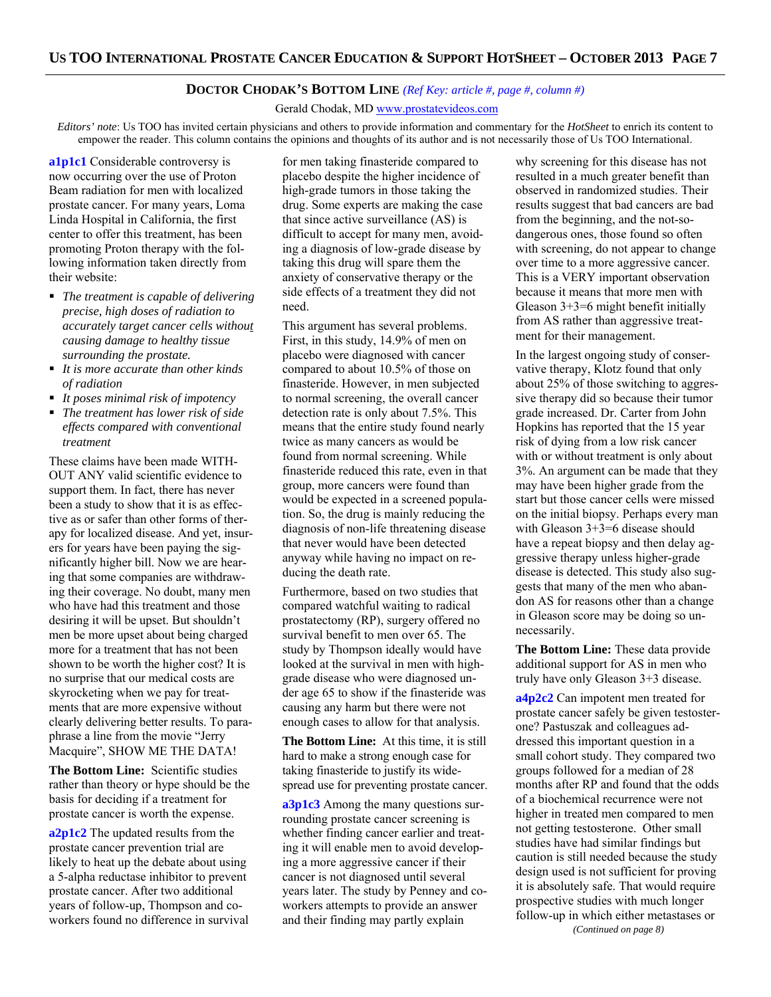### **DOCTOR CHODAK'S BOTTOM LINE** *(Ref Key: article #, page #, column #)*

Gerald Chodak, MD www.prostatevideos.com

*Editors' note*: Us TOO has invited certain physicians and others to provide information and commentary for the *HotSheet* to enrich its content to empower the reader. This column contains the opinions and thoughts of its author and is not necessarily those of Us TOO International.

**a1p1c1** Considerable controversy is now occurring over the use of Proton Beam radiation for men with localized prostate cancer. For many years, Loma Linda Hospital in California, the first center to offer this treatment, has been promoting Proton therapy with the following information taken directly from their website:

- *The treatment is capable of delivering precise, high doses of radiation to accurately target cancer cells without causing damage to healthy tissue surrounding the prostate.*
- *It is more accurate than other kinds of radiation*
- *It poses minimal risk of impotency*
- *The treatment has lower risk of side effects compared with conventional treatment*

These claims have been made WITH-OUT ANY valid scientific evidence to support them. In fact, there has never been a study to show that it is as effective as or safer than other forms of therapy for localized disease. And yet, insurers for years have been paying the significantly higher bill. Now we are hearing that some companies are withdrawing their coverage. No doubt, many men who have had this treatment and those desiring it will be upset. But shouldn't men be more upset about being charged more for a treatment that has not been shown to be worth the higher cost? It is no surprise that our medical costs are skyrocketing when we pay for treatments that are more expensive without clearly delivering better results. To paraphrase a line from the movie "Jerry Macquire", SHOW ME THE DATA!

**The Bottom Line:** Scientific studies rather than theory or hype should be the basis for deciding if a treatment for prostate cancer is worth the expense.

**a2p1c2** The updated results from the prostate cancer prevention trial are likely to heat up the debate about using a 5-alpha reductase inhibitor to prevent prostate cancer. After two additional years of follow-up, Thompson and coworkers found no difference in survival for men taking finasteride compared to placebo despite the higher incidence of high-grade tumors in those taking the drug. Some experts are making the case that since active surveillance (AS) is difficult to accept for many men, avoiding a diagnosis of low-grade disease by taking this drug will spare them the anxiety of conservative therapy or the side effects of a treatment they did not need.

This argument has several problems. First, in this study, 14.9% of men on placebo were diagnosed with cancer compared to about 10.5% of those on finasteride. However, in men subjected to normal screening, the overall cancer detection rate is only about 7.5%. This means that the entire study found nearly twice as many cancers as would be found from normal screening. While finasteride reduced this rate, even in that group, more cancers were found than would be expected in a screened population. So, the drug is mainly reducing the diagnosis of non-life threatening disease that never would have been detected anyway while having no impact on reducing the death rate.

Furthermore, based on two studies that compared watchful waiting to radical prostatectomy (RP), surgery offered no survival benefit to men over 65. The study by Thompson ideally would have looked at the survival in men with highgrade disease who were diagnosed under age 65 to show if the finasteride was causing any harm but there were not enough cases to allow for that analysis.

**The Bottom Line:** At this time, it is still hard to make a strong enough case for taking finasteride to justify its widespread use for preventing prostate cancer.

**a3p1c3** Among the many questions surrounding prostate cancer screening is whether finding cancer earlier and treating it will enable men to avoid developing a more aggressive cancer if their cancer is not diagnosed until several years later. The study by Penney and coworkers attempts to provide an answer and their finding may partly explain

why screening for this disease has not resulted in a much greater benefit than observed in randomized studies. Their results suggest that bad cancers are bad from the beginning, and the not-sodangerous ones, those found so often with screening, do not appear to change over time to a more aggressive cancer. This is a VERY important observation because it means that more men with Gleason  $3+3=6$  might benefit initially from AS rather than aggressive treatment for their management.

In the largest ongoing study of conservative therapy, Klotz found that only about 25% of those switching to aggressive therapy did so because their tumor grade increased. Dr. Carter from John Hopkins has reported that the 15 year risk of dying from a low risk cancer with or without treatment is only about 3%. An argument can be made that they may have been higher grade from the start but those cancer cells were missed on the initial biopsy. Perhaps every man with Gleason 3+3=6 disease should have a repeat biopsy and then delay aggressive therapy unless higher-grade disease is detected. This study also suggests that many of the men who abandon AS for reasons other than a change in Gleason score may be doing so unnecessarily.

**The Bottom Line:** These data provide additional support for AS in men who truly have only Gleason 3+3 disease.

**a4p2c2** Can impotent men treated for prostate cancer safely be given testosterone? Pastuszak and colleagues addressed this important question in a small cohort study. They compared two groups followed for a median of 28 months after RP and found that the odds of a biochemical recurrence were not higher in treated men compared to men not getting testosterone. Other small studies have had similar findings but caution is still needed because the study design used is not sufficient for proving it is absolutely safe. That would require prospective studies with much longer follow-up in which either metastases or *(Continued on page 8)*